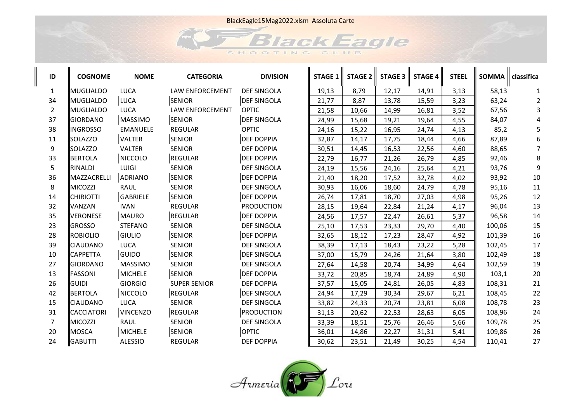

| ID             | <b>COGNOME</b>   | <b>NOME</b>     | <b>CATEGORIA</b>    | <b>DIVISION</b>    | <b>STAGE 1</b> | <b>STAGE 2</b> | <b>STAGE 3</b> | <b>STAGE 4</b> | <b>STEEL</b> | <b>SOMMA</b> | classifica |
|----------------|------------------|-----------------|---------------------|--------------------|----------------|----------------|----------------|----------------|--------------|--------------|------------|
| $\mathbf{1}$   | MUGLIALDO        | <b>LUCA</b>     | LAW ENFORCEMENT     | <b>DEF SINGOLA</b> | 19,13          | 8,79           | 12,17          | 14,91          | 3,13         | 58,13        |            |
| 34             | MUGLIALDO        | LUCA            | <b>SENIOR</b>       | <b>DEF SINGOLA</b> | 21,77          | 8,87           | 13,78          | 15,59          | 3,23         | 63,24        | 2          |
| $\overline{2}$ | MUGLIALDO        | LUCA            | LAW ENFORCEMENT     | <b>OPTIC</b>       | 21,58          | 10,66          | 14,99          | 16,81          | 3,52         | 67,56        |            |
| 37             | GIORDANO         | <b>MASSIMO</b>  | <b>SENIOR</b>       | <b>DEF SINGOLA</b> | 24,99          | 15,68          | 19,21          | 19,64          | 4,55         | 84,07        |            |
| 38             | <b>INGROSSO</b>  | <b>EMANUELE</b> | <b>REGULAR</b>      | <b>OPTIC</b>       | 24,16          | 15,22          | 16,95          | 24,74          | 4,13         | 85,2         |            |
| 11             | <b>SOLAZZO</b>   | VALTER          | <b>SENIOR</b>       | <b>DEF DOPPIA</b>  | 32,87          | 14,17          | 17,75          | 18,44          | 4,66         | 87,89        |            |
| 9              | <b>SOLAZZO</b>   | <b>VALTER</b>   | <b>SENIOR</b>       | <b>DEF DOPPIA</b>  | 30,51          | 14,45          | 16,53          | 22,56          | 4,60         | 88,65        |            |
| 33             | <b>BERTOLA</b>   | NICCOLO         | REGULAR             | <b>DEF DOPPIA</b>  | 22,79          | 16,77          | 21,26          | 26,79          | 4,85         | 92,46        | 8          |
| 5              | RINALDI          | LUIGI           | <b>SENIOR</b>       | <b>DEF SINGOLA</b> | 24,19          | 15,56          | 24,16          | 25,64          | 4,21         | 93,76        | 9          |
| 36             | MAZZACRELLI      | ADRIANO         | <b>SENIOR</b>       | <b>DEF DOPPIA</b>  | 21,40          | 18,20          | 17,52          | 32,78          | 4,02         | 93,92        | 10         |
| 8              | MICOZZI          | <b>RAUL</b>     | <b>SENIOR</b>       | <b>DEF SINGOLA</b> | 30,93          | 16,06          | 18,60          | 24,79          | 4,78         | 95,16        | 11         |
| 14             | <b>CHIRIOTTI</b> | GABRIELE        | <b>SENIOR</b>       | <b>DEF DOPPIA</b>  | 26,74          | 17,81          | 18,70          | 27,03          | 4,98         | 95,26        | 12         |
| 32             | <b>VANZAN</b>    | <b>IVAN</b>     | <b>REGULAR</b>      | <b>PRODUCTION</b>  | 28,15          | 19,64          | 22,84          | 21,24          | 4,17         | 96,04        | 13         |
| 35             | <b>VERONESE</b>  | MAURO           | REGULAR             | <b>DEF DOPPIA</b>  | 24,56          | 17,57          | 22,47          | 26,61          | 5,37         | 96,58        | 14         |
| 23             | <b>GROSSO</b>    | <b>STEFANO</b>  | <b>SENIOR</b>       | <b>DEF SINGOLA</b> | 25,10          | 17,53          | 23,33          | 29,70          | 4,40         | 100,06       | 15         |
| 28             | ROBIOLIO         | GIULIO          | <b>SENIOR</b>       | <b>DEF DOPPIA</b>  | 32,65          | 18,12          | 17,23          | 28,47          | 4,92         | 101,39       | 16         |
| 39             | <b>CIAUDANO</b>  | <b>LUCA</b>     | <b>SENIOR</b>       | DEF SINGOLA        | 38,39          | 17,13          | 18,43          | 23,22          | 5,28         | 102,45       | 17         |
| 10             | <b>CAPPETTA</b>  | <b>GUIDO</b>    | <b>SENIOR</b>       | <b>DEF SINGOLA</b> | 37,00          | 15,79          | 24,26          | 21,64          | 3,80         | 102,49       | 18         |
| 27             | GIORDANO         | <b>MASSIMO</b>  | <b>SENIOR</b>       | <b>DEF SINGOLA</b> | 27,64          | 14,58          | 20,74          | 34,99          | 4,64         | 102,59       | 19         |
| 13             | <b>FASSONI</b>   | MICHELE         | <b>SENIOR</b>       | <b>DEF DOPPIA</b>  | 33,72          | 20,85          | 18,74          | 24,89          | 4,90         | 103,1        | 20         |
| 26             | <b>GUIDI</b>     | <b>GIORGIO</b>  | <b>SUPER SENIOR</b> | <b>DEF DOPPIA</b>  | 37,57          | 15,05          | 24,81          | 26,05          | 4,83         | 108,31       | 21         |
| 42             | BERTOLA          | NICCOLO         | REGULAR             | <b>DEF SINGOLA</b> | 24,94          | 17,29          | 30,34          | 29,67          | 6,21         | 108,45       | 22         |
| 15             | <b>CIAUDANO</b>  | <b>LUCA</b>     | <b>SENIOR</b>       | <b>DEF SINGOLA</b> | 33,82          | 24,33          | 20,74          | 23,81          | 6,08         | 108,78       | 23         |
| 31             | CACCIATORI       | <b>VINCENZO</b> | REGULAR             | <b>PRODUCTION</b>  | 31,13          | 20,62          | 22,53          | 28,63          | 6,05         | 108,96       | 24         |
| $\overline{7}$ | MICOZZI          | <b>RAUL</b>     | <b>SENIOR</b>       | <b>DEF SINGOLA</b> | 33,39          | 18,51          | 25,76          | 26,46          | 5,66         | 109,78       | 25         |
| 20             | IMOSCA           | <b>MICHELE</b>  | <b>SENIOR</b>       | <b>OPTIC</b>       | 36,01          | 14,86          | 22,27          | 31,31          | 5,41         | 109,86       | 26         |
| 24             | <b>GABUTTI</b>   | <b>ALESSIO</b>  | <b>REGULAR</b>      | <b>DEF DOPPIA</b>  | 30,62          | 23,51          | 21,49          | 30,25          | 4,54         | 110,41       | 27         |